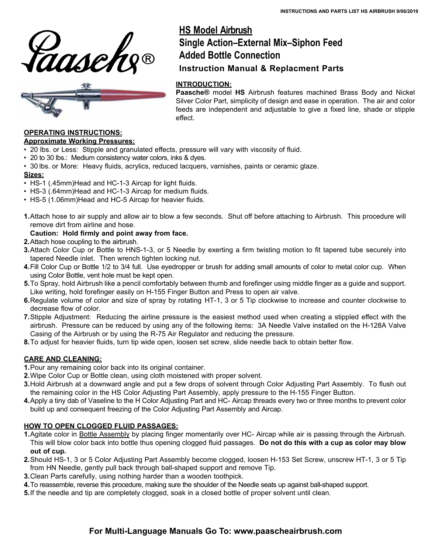



# **HS Model Airbrush Single Action–External Mix–Siphon Feed Added Bottle Connection Instruction Manual & Replacment Parts**

#### **INTRODUCTION:**

**Paasche®** model **HS** Airbrush features machined Brass Body and Nickel Silver Color Part, simplicity of design and ease in operation. The air and color feeds are independent and adjustable to give a fixed line, shade or stipple effect.

## **OPERATING INSTRUCTIONS:**

#### **Approximate Working Pressures:**

- 20 lbs. or Less: Stipple and granulated effects, pressure will vary with viscosity of fluid.
- 20 to 30 lbs.: Medium consistency water colors, inks & dyes.
- 30 lbs. or More: Heavy fluids, acrylics, reduced lacquers, varnishes, paints or ceramic glaze.

#### **Sizes:**

- HS-1 (.45mm) Head and HC-1-3 Aircap for light fluids.
- HS-3 (.64mm)Head and HC-1-3 Aircap for medium fluids.
- HS-5 (1.06mm)Head and HC-5 Aircap for heavier fluids.
- **1.**Attach hose to air supply and allow air to blow a few seconds. Shut off before attaching to Airbrush. This procedure will remove dirt from airline and hose.

#### **Caution: Hold firmly and point away from face.**

- **2.** Attach hose coupling to the airbrush.
- **3.**Attach Color Cup or Bottle to HNS-1-3, or 5 Needle by exerting a firm twisting motion to fit tapered tube securely into tapered Needle inlet. Then wrench tighten locking nut.
- **4.** Fill Color Cup or Bottle 1/2 to 3/4 full. Use eyedropper or brush for adding small amounts of color to metal color cup. When using Color Bottle, vent hole must be kept open.
- **5.**To Spray, hold Airbrush like a pencil comfortably between thumb and forefinger using middle finger as a guide and support. Like writing, hold forefinger easily on H-155 Finger Button and Press to open air valve.
- **6.**Regulate volume of color and size of spray by rotating HT-1, 3 or 5 Tip clockwise to increase and counter clockwise to decrease flow of color.
- **7.**Stipple Adjustment: Reducing the airline pressure is the easiest method used when creating a stippled effect with the airbrush. Pressure can be reduced by using any of the following items: 3A Needle Valve installed on the H-128A Valve Casing of the Airbrush or by using the R-75 Air Regulator and reducing the pressure.
- **8.**To adjust for heavier fluids, turn tip wide open, loosen set screw, slide needle back to obtain better flow.

#### **CARE AND CLEANING:**

**1.**Pour any remaining color back into its original container.

- **2.**Wipe Color Cup or Bottle clean, using cloth moistened with proper solvent.
- **3.**Hold Airbrush at a downward angle and put a few drops of solvent through Color Adjusting Part Assembly. To flush out the remaining color in the HS Color Adjusting Part Assembly, apply pressure to the H-155 Finger Button.
- **4.**Apply a tiny dab of Vaseline to the H Color Adjusting Part and HC- Aircap threads every two or three months to prevent color build up and consequent freezing of the Color Adjusting Part Assembly and Aircap.

#### **HOW TO OPEN CLOGGED FLUID PASSAGES:**

- **1.**Agitate color in Bottle Assembly by placing finger momentarily over HC- Aircap while air is passing through the Airbrush. This will blow color back into bottle thus opening clogged fluid passages. **Do not do this with a cup as color may blow out of cup.**
- **2.**Should HS-1, 3 or 5 Color Adjusting Part Assembly become clogged, loosen H-153 Set Screw, unscrew HT-1, 3 or 5 Tip from HN Needle, gently pull back through ball-shaped support and remove Tip.
- **3.**Clean Parts carefully, using nothing harder than a wooden toothpick.
- **4.** To reassemble, reverse this procedure, making sure the shoulder of the Needle seats up against ball-shaped support.
- **5.**If the needle and tip are completely clogged, soak in a closed bottle of proper solvent until clean.

# **For Multi-Language Manuals Go To: www.paascheairbrush.com**